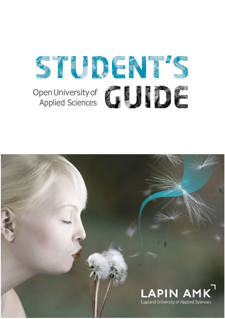

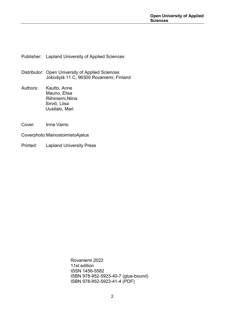Publisher: Lapland University of Applied Sciences

- Distributor: Open University of Applied Sciences Jokiväylä 11 C, 96300 Rovaniemi, Finland
- Authors: Kautto, Anne Mauno, Elisa Riihiniemi,Niina Sirviö, Liisa Uusitalo, Mari
- Cover: Irma Varrio
- Coverphoto:MainostoimistoAjatus
- Printed: Lapland University Press

Rovaniemi 2022 11st edition ISSN 1456-5582 ISBN 978-952-5923-40-7 (glue-bound) ISBN 978-952-5923-41-4 (PDF)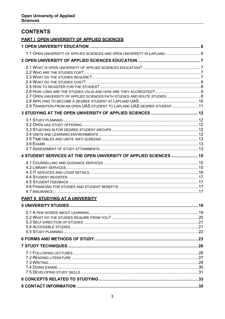### **CONTENTS**

|  | <b>PART I OPEN UNIVERSITY OF APPLIED SCIENCES</b> |
|--|---------------------------------------------------|
|  |                                                   |

| 1.1 OPEN UNIVERSITY OF APPLIED SCIENCES AND OPEN UNIVERSITY IN LAPLAND 6                                                                             |  |
|------------------------------------------------------------------------------------------------------------------------------------------------------|--|
|                                                                                                                                                      |  |
| 2.7 OPEN UNIVERSITY OF APPLIED SCIENCES PATH STUDIES AND ROUTE STUDIES 8<br>2.9 TRANSITION FROM AN OPEN UAS STUDENT TO LAPLAND UAS DEGREE STUDENT 11 |  |
|                                                                                                                                                      |  |
|                                                                                                                                                      |  |
| 4 STUDENT SERVICES AT THE OPEN UNIVERSITY OF APPLIED SCIENCES 15                                                                                     |  |
|                                                                                                                                                      |  |
| <b>PART II STUDYING AT A UNIVERSITY</b>                                                                                                              |  |
|                                                                                                                                                      |  |
|                                                                                                                                                      |  |
|                                                                                                                                                      |  |
|                                                                                                                                                      |  |
|                                                                                                                                                      |  |
|                                                                                                                                                      |  |
|                                                                                                                                                      |  |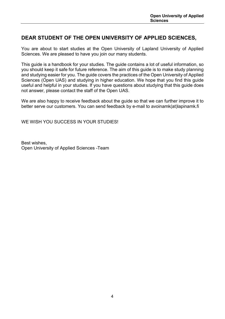### **DEAR STUDENT OF THE OPEN UNIVERSITY OF APPLIED SCIENCES,**

You are about to start studies at the Open University of Lapland University of Applied Sciences. We are pleased to have you join our many students.

This guide is a handbook for your studies. The guide contains a lot of useful information, so you should keep it safe for future reference. The aim of this guide is to make study planning and studying easier for you. The guide covers the practices of the Open University of Applied Sciences (Open UAS) and studying in higher education. We hope that you find this guide useful and helpful in your studies. If you have questions about studying that this guide does not answer, please contact the staff of the Open UAS.

We are also happy to receive feedback about the guide so that we can further improve it to better serve our customers. You can send feedback by e-mail to avoinamk(at)lapinamk.fi

WE WISH YOU SUCCESS IN YOUR STUDIES!

Best wishes, Open University of Applied Sciences -Team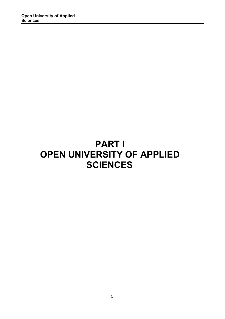# **PART I OPEN UNIVERSITY OF APPLIED SCIENCES**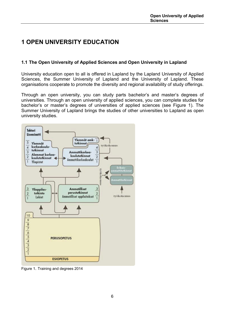## <span id="page-5-0"></span>**1 OPEN UNIVERSITY EDUCATION**

#### <span id="page-5-1"></span>**1.1 The Open University of Applied Sciences and Open University in Lapland**

University education open to all is offered in Lapland by the Lapland University of Applied Sciences, the Summer University of Lapland and the University of Lapland. These organisations cooperate to promote the diversity and regional availability of study offerings.

Through an open university, you can study parts bachelor's and master's degrees of universities. Through an open university of applied sciences, you can complete studies for bachelor's or master's degrees of universities of applied sciences (see Figure 1). The Summer University of Lapland brings the studies of other universities to Lapland as open university studies.



Figure 1. Training and degrees 2014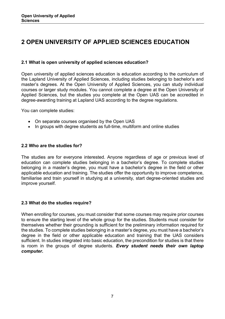### <span id="page-6-0"></span>**2 OPEN UNIVERSITY OF APPLIED SCIENCES EDUCATION**

#### <span id="page-6-1"></span>**2.1 What is open university of applied sciences education?**

Open university of applied sciences education is education according to the curriculum of the Lapland University of Applied Sciences, including studies belonging to bachelor's and master's degrees. At the Open University of Applied Sciences, you can study individual courses or larger study modules. You cannot complete a degree at the Open University of Applied Sciences, but the studies you complete at the Open UAS can be accredited in degree-awarding training at Lapland UAS according to the degree regulations.

You can complete studies:

- On separate courses organised by the Open UAS
- In groups with degree students as full-time, multiform and online studies

#### <span id="page-6-2"></span>**2.2 Who are the studies for?**

The studies are for everyone interested. Anyone regardless of age or previous level of education can complete studies belonging in a bachelor's degree. To complete studies belonging in a master's degree, you must have a bachelor's degree in the field or other applicable education and training. The studies offer the opportunity to improve competence, familiarise and train yourself in studying at a university, start degree-oriented studies and improve yourself.

#### <span id="page-6-3"></span>**2.3 What do the studies require?**

When enrolling for courses, you must consider that some courses may require prior courses to ensure the starting level of the whole group for the studies. Students must consider for themselves whether their grounding is sufficient for the preliminary information required for the studies. To complete studies belonging in a master's degree, you must have a bachelor's degree in the field or other applicable education and training that the UAS considers sufficient. In studies integrated into basic education, the precondition for studies is that there is room in the groups of degree students. *Every student needs their own laptop computer.*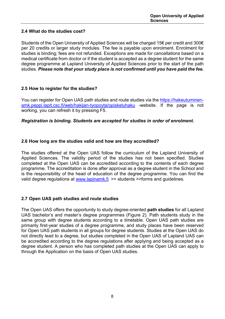#### <span id="page-7-0"></span>**2.4 What do the studies cost?**

Students of the Open University of Applied Sciences will be charged 15€ per credit and 300€ per 20 credits or larger study modules. The fee is payable upon enrolment. Enrolment for studies is binding; fees are not refunded. Exceptions are made for cancellations based on a medical certificate from doctor or if the student is accepted as a degree student for the same degree programme at Lapland University of Applied Sciences prior to the start of the path studies. *Please note that your study place is not confirmed until you have paid the fee.*

#### <span id="page-7-1"></span>**2.5 How to register for the studies?**

You can register for Open UAS path studies and route studies via the [https://hakeutuminen](https://hakeutuminen-amk.peppi.lapit.csc.fi/web/hakijan-tyopoyta/opiskeluhaku)[amk.peppi.lapit.csc.fi/web/hakijan-tyopoyta/opiskeluhaku](https://hakeutuminen-amk.peppi.lapit.csc.fi/web/hakijan-tyopoyta/opiskeluhaku) -website. If the page is not working, you can refresh it by pressing F5.

#### *Registration is binding. Students are accepted for studies in order of enrolment.*

#### <span id="page-7-2"></span>**2.6 How long are the studies valid and how are they accredited?**

The studies offered at the Open UAS follow the curriculum of the Lapland University of Applied Sciences. The validity period of the studies has not been specified. Studies completed at the Open UAS can be accredited according to the contents of each degree programme. The accreditation is done after approval as a degree student in the School and is the responsibility of the head of education of the degree programme. You can find the valid degree regulations at [www.lapinamk.fi](http://www.lapinamk.fi/) >> students >>forms and guidelines.

#### <span id="page-7-3"></span>**2.7 Open UAS path studies and route studies**

The Open UAS offers the opportunity to study degree-oriented **path studies** for all Lapland UAS bachelor's and master's degree programmes (Figure 2). Path students study in the same group with degree students according to a timetable. Open UAS path studies are primarily first-year studies of a degree programme, and study places have been reserved for Open UAS path students in all groups for degree students. Studies at the Open UAS do not directly lead to a degree, but studies completed in the Open UAS of Lapland UAS can be accredited according to the degree regulations after applying and being accepted as a degree student. A person who has completed path studies at the Open UAS can apply to through the Application on the basis of Open UAS studies.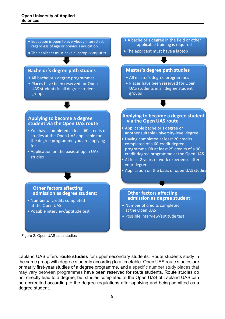- Education is open to everybody interested, regardless of age or previous education
- The applicant must have a laptop computer

#### **Bachelor's degree path studies**

- All bachelor's degree programmes
- Places have been reserved for Open UAS students in all degree student groups

#### **Applying to become a degree student via the Open UAS route**

- You have completed at least 60 credits of studies at the Open UAS applicable for the degree programme you are applying for
- Application on the basis of open UAS studies

• A bachelor's degree in the field or other applicable training is required

• The applicant must have a laptop

#### **Master's degree path studies**

- All master's degree programmes
- Places have been reserved for Open UAS students in all degree student groups

#### **Applying to become a degree student via the Open UAS route**

- Applicable bachelor's degree or another suitable university-level degree
- Having completed at least 20 credits completed of a 60-credit degree programme OR at least 25 credits of a 90 credit degree programme at the Open UAS.
- At least 2 years of work experience after your degree.
- Application on the basis of open UAS studies

#### **Other factors affecting admission as degree student:**

- Number of credits completed at the Open UAS
- Possible interview/aptitude test

Figure 2. Open UAS path studies

Lapland UAS offers **route studies** for upper secondary students. Route students study in the same group with degree students according to a timetable. Open UAS route studies are primarily first-year studies of a degree programme, and a specific number study places that may vary between programmes have been reserved for route students. Route studies do not directly lead to a degree, but studies completed at the Open UAS of Lapland UAS can be accredited according to the degree regulations after applying and being admitted as a degree student.

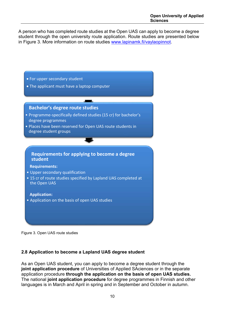A person who has completed route studies at the Open UAS can apply to become a degree student through the open university route application. Route studies are presented below in Figure 3. More information on route studies [www.lapinamk.fi/vaylaopinnot.](http://www.lapinamk.fi/vaylaopinnot)



Figure 3. Open UAS route studies

### <span id="page-9-0"></span>**2.8 Application to become a Lapland UAS degree student**

As an Open UAS student, you can apply to become a degree student through the **joint application procedure** of Universities of Applied SAciences or in the separate application procedure **through the application on the basis of open UAS studies.** The national **joint application procedure** for degree programmes in Finnish and other languages is in March and April in spring and in September and October in autumn.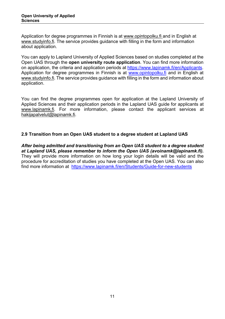Application for degree programmes in Finnish is at [www.opintopolku.fi](http://www.opintopolku.fi/) and in English at www.studyinfo.fi. The service provides guidance with filling in the form and information about application.

You can apply to Lapland University of Applied Sciences based on studies completed at the Open UAS through the **open university route application**. You can find more information on application, the criteria and application periods at [https://www.lapinamk.fi/en/Applicants.](https://www.lapinamk.fi/en/Applicants) Application for degree programmes in Finnish is at [www.opintopolku.fi](http://www.opintopolku.fi/) and in English at www.studyinfo.fi. The service provides guidance with filling in the form and information about application.

You can find the degree programmes open for application at the Lapland University of Applied Sciences and their application periods in the Lapland UAS guide for applicants at [www.lapinamk.fi.](http://www.lapinamk.fi/) For more information, please contact the applicant services at [hakijapalvelut@lapinamk.fi.](mailto:hakijapalvelut@lapinamk.fi)

#### <span id="page-10-0"></span>**2.9 Transition from an Open UAS student to a degree student at Lapland UAS**

*After being admitted and transitioning from an Open UAS student to a degree student at Lapland UAS, please remember to inform the Open UAS (avoinamk@lapinamk.fi).*  They will provide more information on how long your login details will be valid and the procedure for accreditation of studies you have completed at the Open UAS. You can also find more information at <https://www.lapinamk.fi/en/Students/Guide-for-new-students>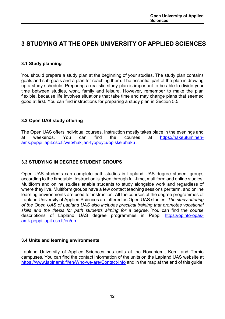### <span id="page-11-0"></span>**3 STUDYING AT THE OPEN UNIVERSITY OF APPLIED SCIENCES**

#### <span id="page-11-1"></span>**3.1 Study planning**

You should prepare a study plan at the beginning of your studies. The study plan contains goals and sub-goals and a plan for reaching them. The essential part of the plan is drawing up a study schedule. Preparing a realistic study plan is important to be able to divide your time between studies, work, family and leisure. However, remember to make the plan flexible, because life involves situations that take time and may change plans that seemed good at first. You can find instructions for preparing a study plan in Section 5.5.

#### <span id="page-11-2"></span>**3.2 Open UAS study offering**

The Open UAS offers individual courses. Instruction mostly takes place in the evenings and at weekends. You can find the courses at [https://hakeutuminen](https://hakeutuminen-amk.peppi.lapit.csc.fi/web/hakijan-tyopoyta/opiskeluhaku)[amk.peppi.lapit.csc.fi/web/hakijan-tyopoyta/opiskeluhaku](https://hakeutuminen-amk.peppi.lapit.csc.fi/web/hakijan-tyopoyta/opiskeluhaku) .

#### <span id="page-11-3"></span>**3.3 STUDYING IN DEGREE STUDENT GROUPS**

Open UAS students can complete path studies in Lapland UAS degree student groups according to the timetable. Instruction is given through full-time, multiform and online studies. Multiform and online studies enable students to study alongside work and regardless of where they live. Multiform groups have a few contact teaching sessions per term, and online learning environments are used for instruction. All the courses of the degree programmes of Lapland University of Applied Sciences are offered as Open UAS studies. *The study offering of the Open UAS of Lapland UAS also includes practical training that promotes vocational skills and the thesis for path students aiming for a degree*. You can find the course descriptions of Lapland UAS degree programmes in Peppi [https://opinto-opas](https://opinto-opas-amk.peppi.lapit.csc.fi/en/en)[amk.peppi.lapit.csc.fi/en/en](https://opinto-opas-amk.peppi.lapit.csc.fi/en/en)

#### <span id="page-11-4"></span>**3.4 Units and learning environments**

Lapland University of Applied Sciences has units at the Rovaniemi, Kemi and Tornio campuses. You can find the contact information of the units on the Lapland UAS website at <https://www.lapinamk.fi/en/Who-we-are/Contact-info> and in the map at the end of this guide.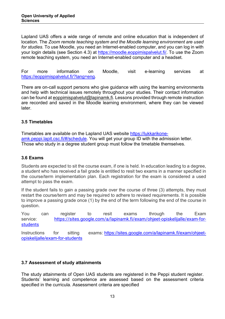Lapland UAS offers a wide range of remote and online education that is independent of location. The *Zoom remote teaching system and the Moodle learning environment are used for studies.* To use Moodle, you need an Internet-enabled computer, and you can log in with your login details (see Section 4.3) at [https://moodle.eoppimispalvelut.fi/.](https://moodle.eoppimispalvelut.fi/) To use the Zoom remote teaching system, you need an Internet-enabled computer and a headset.

For more information on Moodle, visit e-learning services at [https://eoppimispalvelut.fi/?lang=eng.](https://eoppimispalvelut.fi/?lang=eng)

There are on-call support persons who give guidance with using the learning environments and help with technical issues remotely throughout your studies. Their contact information can be found at [eoppimispalvelut@lapinamk.fi.](mailto:eoppimispalvelut@lapinamk.fi) Lessons provided through remote instruction are recorded and saved in the Moodle learning environment, where they can be viewed later.

#### <span id="page-12-0"></span>**3.5 Timetables**

Timetables are available on the Lapland UAS website [https://lukkarikone](https://lukkarikone-amk.peppi.lapit.csc.fi/#/schedule)[amk.peppi.lapit.csc.fi/#/schedule.](https://lukkarikone-amk.peppi.lapit.csc.fi/#/schedule) You will get your group ID with the admission letter. Those who study in a degree student group must follow the timetable themselves.

#### <span id="page-12-1"></span>**3.6 Exams**

Students are expected to sit the course exam, if one is held. In education leading to a degree, a student who has received a fail grade is entitled to resit two exams in a manner specified in the course/term implementation plan. Each registration for the exam is considered a used attempt to pass the exam.

If the student fails to gain a passing grade over the course of three (3) attempts, they must restart the course/term and may be required to adhere to revised requirements. It is possible to improve a passing grade once (1) by the end of the term following the end of the course in question.

You can register to resit exams through the Exam service: [https://sites.google.com/a/lapinamk.fi/exam/ohjeet-opiskelijalle/exam-for](https://sites.google.com/a/lapinamk.fi/exam/ohjeet-opiskelijalle/exam-for-students)[students](https://sites.google.com/a/lapinamk.fi/exam/ohjeet-opiskelijalle/exam-for-students)

Instructions for sitting exams: [https://sites.google.com/a/lapinamk.fi/exam/ohjeet](https://sites.google.com/a/lapinamk.fi/exam/ohjeet-opiskelijalle/exam-for-students)[opiskelijalle/exam-for-students](https://sites.google.com/a/lapinamk.fi/exam/ohjeet-opiskelijalle/exam-for-students)

#### <span id="page-12-2"></span>**3.7 Assessment of study attainments**

The study attainments of Open UAS students are registered in the Peppi student register. Students' learning and competence are assessed based on the assessment criteria specified in the curricula. Assessment criteria are specified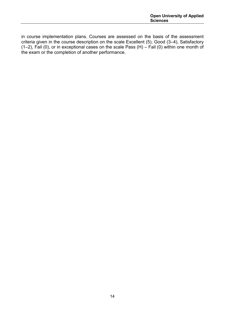in course implementation plans. Courses are assessed on the basis of the assessment criteria given in the course description on the scale Excellent (5), Good (3–4), Satisfactory (1–2), Fail (0), or in exceptional cases on the scale Pass (H) – Fail (0) within one month of the exam or the completion of another performance.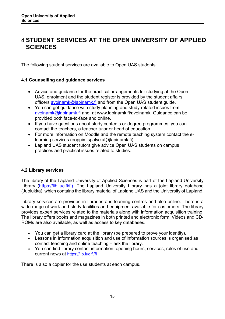### <span id="page-14-0"></span>**4 STUDENT SERVICES AT THE OPEN UNIVERSITY OF APPLIED SCIENCES**

The following student services are available to Open UAS students:

#### <span id="page-14-1"></span>**4.1 Counselling and guidance services**

- Advice and guidance for the practical arrangements for studying at the Open UAS, enrolment and the student register is provided by the student affairs officers [avoinamk@lapinamk.fi](mailto:avoinamk@lapinamk.fi) and from the Open UAS student quide.
- You can get guidance with study planning and study-related issues from [avoinamk@lapinamk.fi](mailto:avoinamk@lapinamk.fi) and at [www.lapinamk.fi/avoinamk.](http://www.lapinamk.fi/avoinamk) Guidance can be provided both face-to-face and online.
- If you have questions about study contents or degree programmes, you can contact the teachers, a teacher tutor or head of education.
- For more information on Moodle and the remote teaching system contact the elearning services [\(eoppimispalvelut@lapinamk.fi\)](mailto:eoppimispalvelut@lapinamk.fi).
- Lapland UAS student tutors give advice Open UAS students on campus practices and practical issues related to studies.

#### <span id="page-14-2"></span>**4.2 Library services**

The library of the Lapland University of Applied Sciences is part of the Lapland University Library [\(https://lib.luc.fi/fi\).](https://lib.luc.fi/fi).) The Lapland University Library has a joint library database (Juolukka), which contains the library material of Lapland UAS and the University of Lapland.

Library services are provided in libraries and learning centres and also online. There is a wide range of work and study facilities and equipment available for customers. The library provides expert services related to the materials along with information acquisition training. The library offers books and magazines in both printed and electronic form. Videos and CD-ROMs are also available, as well as access to key databases.

- You can get a library card at the library (be prepared to prove your identity).
- Lessons in information acquisition and use of information sources is organised as contact teaching and online teaching – ask the library.
- You can find library contact information, opening hours, services, rules of use and current news at<https://lib.luc.fi/fi>

There is also a copier for the use students at each campus.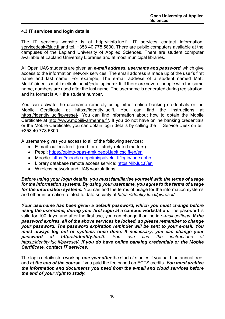#### <span id="page-15-0"></span>**4.3 IT services and login details**

The IT services website is at [http://itinfo.luc.fi](http://itinfo.luc.fi/)**.** IT services contact information: [servicedesk@luc.fi](mailto:servicedesk@luc.fi) and tel. +358 40 778 5800. There are public computers available at the campuses of the Lapland University of Applied Sciences. There are student computer available at Lapland University Libraries and at most municipal libraries.

All Open UAS students are given an *e-mail address, username and password*, which give access to the information network services. The email address is made up of the user's first name and last name. For example, The e-mail address of a student named Matti Meikäläinen i[s matti.meikalainen@edu.lapinamk.fi.](mailto:matti.meikalainen@edu.lapinamk.fi) If there are several people with the same name, numbers are used after the last name. The username is generated during registration, and its format is  $A +$  the student number.

You can activate the username remotely using either online banking credentials or the<br>Mobile Certificate at https://identitv.luc.fi. You can find the instructions at [https://identity.luc.fi.](https://identity.luc.fi/) You can find the instructions at [https://identity.luc.fi/pwreset/.](https://identity.luc.fi/pwreset/) You can find information about how to obtain the Mobile Certificate at [http://www.mobiilivarmenne.fi/.](http://www.mobiilivarmenne.fi/) If you do not have online banking credentials or the Mobile Certificate, you can obtain login details by calling the IT Service Desk on tel. +358 40 778 5800.

A username gives you access to all of the following services:

- E-mail: outlook.luc.fi (used for all study-related matters)
- Peppi:<https://opinto-opas-amk.peppi.lapit.csc.fi/en/en>
- Moodle:<https://moodle.eoppimispalvelut.fi/login/index.php>
- Library database remote access service:<https://lib.luc.fi/en>
- Wireless network and UAS workstations

*Before using your login details, you must familiarise yourself with the terms of usage for the information systems. By using your username, you agree to the terms of usage for the information systems.* You can find the terms of usage for the information systems and other information related to data security at *<https://identity.luc.fi/pwreset/>*

*Your username has been given a default password, which you must change before*  **using the username, during your first login at a campus workstation.** The password is valid for 100 days, and after the first use, you can change it online in *e-mail settings*. *If the password expires, all of the above services be locked, so please remember to change your password. The password expiration reminder will be sent to your e-mail. You*  must always log out of systems once done. If necessary, you can change your<br>password at https://identity.luc.fi. You can find the instructions at *password at [https://identity.luc.fi.](https://identity.luc.fi/) You can find the instructions at [https://identity.luc.fi/pwreset/.](https://identity.luc.fi/pwreset/) If you do have online banking credentials or the Mobile Certificate, contact IT services.*

The login details stop working *one year after* the start of studies if you paid the annual free, and *at the end of the course* if you paid the fee based on ECTS credits. *You must archive the information and documents you need from the e-mail and cloud services before the end of your right to study.*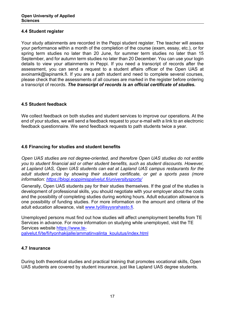#### <span id="page-16-0"></span>**4.4 Student register**

Your study attainments are recorded in the Peppi student register. The teacher will assess your performance within a month of the completion of the course (exam, essay, etc.), or for spring term studies no later than 20 June, for summer term studies no later than 15 September, and for autumn term studies no later than 20 December. You can use your login details to view your attainments in Peppi. If you need a transcript of records after the assessment, you can send a request to a student affairs officer of the Open UAS at avoinamk@lapinamk.fi. If you are a path student and need to complete several courses, please check that the assessments of all courses are marked in the register before ordering a transcript of records. *The transcript of records is an official certificate of studies.*

#### <span id="page-16-1"></span>**4.5 Student feedback**

We collect feedback on both studies and student services to improve our operations. At the end of your studies, we will send a feedback request to your e-mail with a link to an electronic feedback questionnaire. We send feedback requests to path students twice a year.

#### <span id="page-16-2"></span>**4.6 Financing for studies and student benefits**

*Open UAS studies are not degree-oriented, and therefore Open UAS studies do not entitle you to student financial aid or other student benefits, such as student discounts. However, at Lapland UAS, Open UAS students can eat at Lapland UAS campus restaurants for the adult student price by showing their student certificate, or get a sports pass (more information:<https://blogi.eoppimispalvelut.fi/universitysports/>*

Generally, Open UAS students pay for their studies themselves. If the goal of the studies is development of professional skills, you should negotiate with your employer about the costs and the possibility of completing studies during working hours. Adult education allowance is one possibility of funding studies. For more information on the amount and criteria of the adult education allowance, visit [www.työllisyysrahasto.fi.](http://www.ty%C3%B6llisyysrahasto.fi/)

Unemployed persons must find out how studies will affect unemployment benefits from TE Services in advance. For more information on studying while unemployed, visit the TE Services website [https://www.te](https://www.te-palvelut.fi/te/fi/tyonhakijalle/ammatinvalinta_koulutus/index.html)[palvelut.fi/te/fi/tyonhakijalle/ammatinvalinta\\_koulutus/index.html](https://www.te-palvelut.fi/te/fi/tyonhakijalle/ammatinvalinta_koulutus/index.html)

#### <span id="page-16-3"></span>**4.7 Insurance**

During both theoretical studies and practical training that promotes vocational skills, Open UAS students are covered by student insurance, just like Lapland UAS degree students.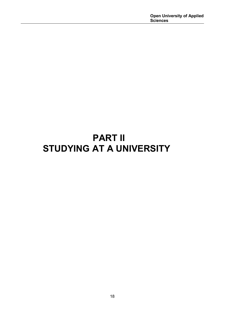# **PART II STUDYING AT A UNIVERSITY**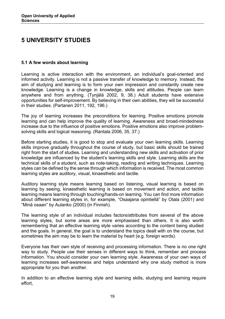### <span id="page-18-0"></span>**5 UNIVERSITY STUDIES**

#### <span id="page-18-1"></span>**5.1 A few words about learning**

Learning is active interaction with the environment, an individual's goal-oriented and informed activity. Learning is not a passive transfer of knowledge to memory. Instead, the aim of studying and learning is to form your own impression and constantly create new knowledge. Learning is a change in knowledge, skills and attitudes. People can learn anywhere and from anything. (Tynjälä 2002, 9, 38.) Adult students have extensive opportunities for self-improvement. By believing in their own abilities, they will be successful in their studies. (Partanen 2011, 192, 196.)

The joy of learning increases the preconditions for learning. Positive emotions promote learning and can help improve the quality of learning. Awareness and broad-mindedness increase due to the influence of positive emotions. Positive emotions also improve problemsolving skills and logical reasoning. (Rantala 2006, 35, 37.)

Before starting studies, it is good to stop and evaluate your own learning skills. Learning skills improve gradually throughout the course of study, but basic skills should be trained right from the start of studies. Learning and understanding new skills and activation of prior knowledge are influenced by the student's learning skills and style. Learning skills are the technical skills of a student, such as note-taking, reading and writing techniques. Learning styles can be defined by the sense through which information is received. The most common learning styles are auditory, visual, kinaesthetic and tactile.

Auditory learning style means learning based on listening, visual learning is based on learning by seeing, kinaesthetic learning is based on movement and action, and tactile learning means learning through touching/hands-on learning. You can find more information about different learning styles in, for example, "Osaajana opintiellä" by Otala (2001) and "Minä osaan" by Aulanko (2000) (in Finnish).

The learning style of an individual includes factors/attributes from several of the above learning styles, but some areas are more emphasised than others. It is also worth remembering that an effective learning style varies according to the content being studied and the goals. In general, the goal is to understand the topics dealt with on the course, but sometimes the aim may be to learn the material by heart (e.g. foreign words).

Everyone has their own style of receiving and processing information. There is no one right way to study. People use their senses in different ways to think, remember and process information. You should consider your own learning style. Awareness of your own ways of learning increases self-awareness and helps understand why one study method is more appropriate for you than another.

In addition to an effective learning style and learning skills, studying and learning require effort,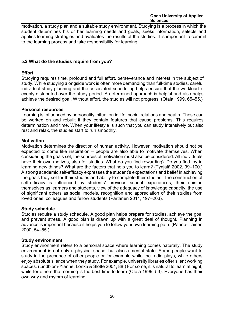motivation, a study plan and a suitable study environment. Studying is a process in which the student determines his or her learning needs and goals, seeks information, selects and applies learning strategies and evaluates the results of the studies. It is important to commit to the learning process and take responsibility for learning.

#### <span id="page-19-0"></span>**5.2 What do the studies require from you?**

#### **Effort**

Studying requires time, profound and full effort, perseverance and interest in the subject of study. While studying alongside work is often more demanding than full-time studies, careful individual study planning and the associated scheduling helps ensure that the workload is evenly distributed over the study period. A determined approach is helpful and also helps achieve the desired goal. Without effort, the studies will not progress. (Otala 1999, 65–55.)

#### **Personal resources**

Learning is influenced by personality, situation in life, social relations and health. These can be worked on and rebuilt if they contain features that cause problems. This requires determination and time. When your lifestyle is such that you can study intensively but also rest and relax, the studies start to run smoothly.

#### **Motivation**

Motivation determines the direction of human activity. However, motivation should not be expected to come like inspiration – people are also able to motivate themselves. When considering the goals set, the sources of motivation must also be considered. All individuals have their own motives, also for studies. What do you find rewarding? Do you find joy in learning new things? What are the factors that help you to learn? (Tynjälä 2002, 99–100.) A strong academic self-efficacy expresses the student's expectations and belief in achieving the goals they set for their studies and ability to complete their studies. The construction of self-efficacy is influenced by students' previous school experiences, their opinion themselves as learners and students, view of the adequacy of knowledge capacity, the use of significant others as social models, recognition and appreciation of their studies from loved ones, colleagues and fellow students (Partanen 2011, 197–203).

#### **Study schedule**

Studies require a study schedule. A good plan helps prepare for studies, achieve the goal and prevent stress. A good plan is drawn up with a great deal of thought. Planning in advance is important because it helps you to follow your own learning path. (Paane-Tiainen 2000, 54–55.)

#### **Study environment**

Study environment refers to a personal space where learning comes naturally. The study environment is not only a physical space, but also a mental state. Some people want to study in the presence of other people or for example while the radio plays, while others enjoy absolute silence when they study. For example, university libraries offer silent working spaces. (Lindblom-Ylänne, Lonka & Slotte 2001, 88.) For some, it is natural to learn at night, while for others the morning is the best time to learn (Otala 1999, 53). Everyone has their own way and rhythm of learning.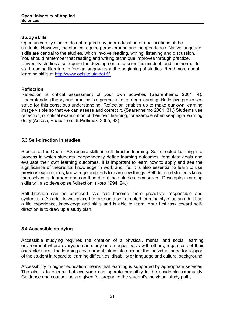#### **Study skills**

Open university studies do not require any prior education or qualifications of the students. However, the studies require perseverance and independence. Native language skills are central to the studies, which involve reading, writing, listening and discussion. You should remember that reading and writing technique improves through practice. University studies also require the development of a scientific mindset, and it is normal to start reading literature in foreign languages at the beginning of studies. Read more about learning skills at<http://www.opiskelutaidot.fi/>

#### **Reflection**

Reflection is critical assessment of your own activities (Saarenheimo 2001, 4). Understanding theory and practice is a prerequisite for deep learning. Reflective processes strive for this conscious understanding. Reflection enables us to make our own learning image visible so that we can assess and correct it. (Saarenheimo 2001, 31.) Students use reflection, or critical examination of their own learning, for example when keeping a learning diary (Ansela, Haapaniemi & Pirttimäki 2005, 33).

#### <span id="page-20-0"></span>**5.3 Self-direction in studies**

Studies at the Open UAS require skills in self-directed learning. Self-directed learning is a process in which students independently define learning outcomes, formulate goals and evaluate their own learning outcomes. It is important to learn how to apply and see the significance of theoretical knowledge in work and life. It is also essential to learn to use previous experiences, knowledge and skills to learn new things. Self-directed students know themselves as learners and can thus direct their studies themselves. Developing learning skills will also develop self-direction. (Koro 1994, 24.)

Self-direction can be practised. We can become more proactive, responsible and systematic. An adult is well placed to take on a self-directed learning style, as an adult has a life experience, knowledge and skills and is able to learn. Your first task toward selfdirection is to draw up a study plan.

#### <span id="page-20-1"></span>**5.4 Accessible studying**

Accessible studying requires the creation of a physical, mental and social learning environment where everyone can study on an equal basis with others, regardless of their characteristics. The learning environment takes into account the individual need for support of the student in regard to learning difficulties, disability or language and cultural background.

Accessibility in higher education means that learning is supported by appropriate services. The aim is to ensure that everyone can operate smoothly in the academic community. Guidance and counselling are given for preparing the student's individual study path,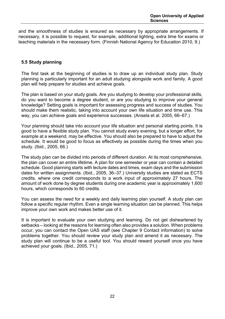and the smoothness of studies is ensured as necessary by appropriate arrangements. If necessary, it is possible to request, for example, additional lighting, extra time for exams or teaching materials in the necessary form. (Finnish National Agency for Education 2010, 9.)

#### <span id="page-21-0"></span>**5.5 Study planning**

The first task at the beginning of studies is to draw up an individual study plan. Study planning is particularly important for an adult studying alongside work and family. A good plan will help prepare for studies and achieve goals.

The plan is based on your study goals. Are you studying to develop your professional skills, do you want to become a degree student, or are you studying to improve your general knowledge? Setting goals is important for assessing progress and success of studies. You should make them realistic, taking into account your own life situation and time use. This way, you can achieve goals and experience successes. (Ansela et al. 2005, 66–67.)

Your planning should take into account your life situation and personal starting points. It is good to have a flexible study plan. You cannot study every evening, but a longer effort, for example at a weekend, may be effective. You should also be prepared to have to adjust the schedule. It would be good to focus as effectively as possible during the times when you study. (Ibid., 2005, 66.)

The study plan can be divided into periods of different duration. At its most comprehensive, the plan can cover an entire lifetime. A plan for one semester or year can contain a detailed schedule. Good planning starts with lecture dates and times, exam days and the submission dates for written assignments. (Ibid., 2005, 36–37.) University studies are stated as ECTS credits, where one credit corresponds to a work input of approximately 27 hours. The amount of work done by degree students during one academic year is approximately 1,600 hours, which corresponds to 60 credits.

You can assess the need for a weekly and daily learning plan yourself. A study plan can follow a specific regular rhythm. Even a single learning situation can be planned. This helps improve your own work and makes better use of it.

It is important to evaluate your own studying and learning. Do not get disheartened by setbacks – looking at the reasons for learning often also provides a solution. When problems occur, you can contact the Open UAS staff (see Chapter 9 Contact information) to solve problems together. You should review your study plan and amend it as necessary. The study plan will continue to be a useful tool. You should reward yourself once you have achieved your goals. (Ibid., 2005, 71.)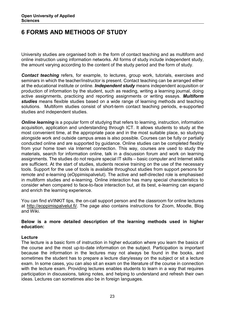### <span id="page-22-0"></span>**6 FORMS AND METHODS OF STUDY**

University studies are organised both in the form of contact teaching and as multiform and online instruction using information networks. All forms of study include independent study, the amount varying according to the content of the study period and the form of study.

*Contact teaching* refers, for example, to lectures, group work, tutorials, exercises and seminars in which the teacher/instructor is present. Contact teaching can be arranged either at the educational institute or online. *Independent study* means independent acquisition or production of information by the student, such as reading, writing a learning journal, doing active assignments, practicing and reporting assignments or writing essays. *Multiform studies* means flexible studies based on a wide range of learning methods and teaching solutions. Multiform studies consist of short-term contact teaching periods, e-supported studies and independent studies.

*Online learning* is a popular form of studying that refers to learning, instruction, information acquisition, application and understanding through ICT. It allows students to study at the most convenient time, at the appropriate pace and in the most suitable place, so studying alongside work and outside campus areas is also possible. Courses can be fully or partially conducted online and are supported by guidance. Online studies can be completed flexibly from your home town via Internet connection. This way, courses are used to study the materials, search for information online, talk in a discussion forum and work on learning assignments. The studies do not require special IT skills – basic computer and Internet skills are sufficient. At the start of studies, students receive training on the use of the necessary tools. Support for the use of tools is available throughout studies from support persons for remote and e-learning (eOppimispalvelut). The active and self-directed role is emphasised in multiform studies and e-learning. Online interaction has many special characteristics to consider when compared to face-to-face interaction but, at its best, e-learning can expand and enrich the learning experience.

You can find eVINKIT tips, the on-call support person and the classroom for online lectures at [http://eoppimispalvelut.fi/.](http://eoppimispalvelut.fi/) The page also contains instructions for Zoom, Moodle, Blog and Wiki.

#### **Below is a more detailed description of the learning methods used in higher education:**

#### **Lecture**

The lecture is a basic form of instruction in higher education where you learn the basics of the course and the most up-to-date information on the subject. Participation is important because the information in the lectures may not always be found in the books, and sometimes the student has to prepare a lecture diary/essay on the subject or sit a lecture exam. In some cases, you can also sit an exam on the literature of the course in connection with the lecture exam. Providing lectures enables students to learn in a way that requires participation in discussions, taking notes, and helping to understand and refresh their own ideas. Lectures can sometimes also be in foreign languages.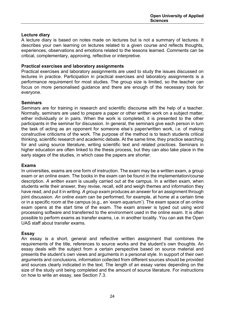#### **Lecture diary**

A lecture diary is based on notes made on lectures but is not a summary of lectures. It describes your own learning on lectures related to a given course and reflects thoughts, experiences, observations and emotions related to the lessons learned. Comments can be critical, complementary, approving, reflective or interpretive.

#### **Practical exercises and laboratory assignments**

Practical exercises and laboratory assignments are used to study the issues discussed on lectures in practice. Participation in practical exercises and laboratory assignments is a performance requirement for most studies. The group size is limited, so the teacher can focus on more personalised guidance and there are enough of the necessary tools for everyone.

#### **Seminars**

Seminars are for training in research and scientific discourse with the help of a teacher. Normally, seminars are used to prepare a paper or other written work on a subject matter, either individually or in pairs. When the work is completed, it is presented to the other participants in the seminar for discussion. In general, the seminars give each person in turn the task of acting as an opponent for someone else's paper/written work, i.e. of making constructive criticisms of the work. The purpose of the method is to teach students critical thinking, scientific research and academic debate. At the same time, they practice searching for and using source literature, writing scientific text and related practices. Seminars in higher education are often linked to the thesis process, but they can also take place in the early stages of the studies, in which case the papers are shorter.

#### **Exams**

In universities, exams are one form of instruction. The exam may be a written exam, a group exam or an online exam. The books in the exam can be found in the implementation/course description. *A written exam* is usually carried out at the campus. In a written exam, when students write their answer, they revise, recall, edit and weigh themes and information they have read, and put it in writing. *A group exam* produces an answer for an assignment through joint discussion. *An online exam* can be performed, for example, at home at a certain time or in a specific room at the campus (e.g., an 'exam aquarium'). The exam space of an online exam opens at the start time of the exam. The exam answer is typed out using word processing software and transferred to the environment used in the online exam. It is often possible to perform exams as transfer exams, i.e. in another locality. You can ask the Open UAS staff about transfer exams.

#### **Essay**

An essay is a short, general and reflective written assignment that combines the requirements of the title, references to source works and the student's own thoughts. An essay deals with the subject from a certain perspective based on source material and presents the student's own views and arguments in a personal style. In support of their own arguments and conclusions, information collected from different sources should be provided and sources clearly indicated in the text. The length of an essay varies depending on the size of the study unit being completed and the amount of source literature. For instructions on how to write an essay, see Section 7.3.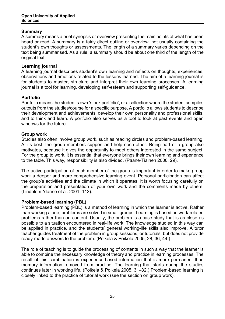#### **Summary**

A summary means a brief synopsis or overview presenting the main points of what has been heard or read. A summary is a fairly direct outline or overview, not usually containing the student's own thoughts or assessments. The length of a summary varies depending on the text being summarised. As a rule, a summary should be about one third of the length of the original text.

#### **Learning journal**

A learning journal describes student's own learning and reflects on thoughts, experiences, observations and emotions related to the lessons learned. The aim of a learning journal is for students to master, structure and interpret their own learning processes. A learning journal is a tool for learning, developing self-esteem and supporting self-guidance.

#### **Portfolio**

Portfolio means the student's own 'stock portfolio', or a collection where the student compiles outputs from the studies/course for a specific purpose. A portfolio allows students to describe their development and achievements, develop their own personality and professional skills, and to think and learn. A portfolio also serves as a tool to look at past events and open windows for the future.

#### **Group work**

Studies also often involve group work, such as reading circles and problem-based learning. At its best, the group members support and help each other. Being part of a group also motivates, because it gives the opportunity to meet others interested in the same subject. For the group to work, it is essential that everyone brings their own learning and experience to the table. This way, responsibility is also divided. (Paane-Tiainen 2000, 29).

The active participation of each member of the group is important in order to make group work a deeper and more comprehensive learning event. Personal participation can affect the group's activities and the climate in which it operates. It is worth focusing carefully on the preparation and presentation of your own work and the comments made by others. (Lindblom-Ylänne et al. 2001, 112).

#### **Problem-based learning (PBL)**

Problem-based learning (PBL) is a method of learning in which the learner is active. Rather than working alone, problems are solved in small groups. Learning is based on work-related problems rather than on content. Usually, the problem is a case study that is as close as possible to a situation encountered in real-life work. The knowledge studied in this way can be applied in practice, and the students' general working-life skills also improve. A tutor teacher guides treatment of the problem in group sessions, or tutorials, but does not provide ready-made answers to the problem. (Poikela & Poikela 2005, 28, 36, 44.)

The role of teaching is to guide the processing of contents in such a way that the learner is able to combine the necessary knowledge of theory and practice in learning processes. The result of this combination is experience-based information that is more permanent than memory information removed from practice. The learning that starts during the studies continues later in working life. (Poikela & Poikela 2005, 31–32.) Problem-based learning is closely linked to the practice of tutorial work (see the section on group work).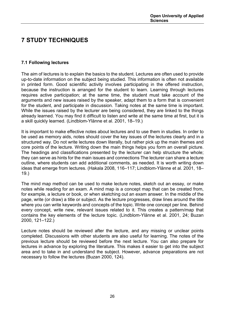### <span id="page-25-0"></span>**7 STUDY TECHNIQUES**

#### <span id="page-25-1"></span>**7.1 Following lectures**

The aim of lectures is to explain the basics to the student. Lectures are often used to provide up-to-date information on the subject being studied. This information is often not available in printed form. Good scientific activity involves participating in the offered instruction, because the instruction is arranged for the student to learn. Learning through lectures requires active participation; at the same time, the student must take account of the arguments and new issues raised by the speaker, adapt them to a form that is convenient for the student, and participate in discussion. Taking notes at the same time is important. While the issues raised by the lecturer are being considered, they are linked to the things already learned. You may find it difficult to listen and write at the same time at first, but it is a skill quickly learned. (Lindblom-Ylänne et al. 2001, 18–19.)

It is important to make effective notes about lectures and to use them in studies. In order to be used as memory aids, notes should cover the key issues of the lectures clearly and in a structured way. Do not write lectures down literally, but rather pick up the main themes and core points of the lecture. Writing down the main things helps you form an overall picture. The headings and classifications presented by the lecturer can help structure the whole; they can serve as hints for the main issues and connections The lecturer can share a lecture outline, where students can add additional comments, as needed. It is worth writing down ideas that emerge from lectures. (Hakala 2008, 116–117; Lindblom-Ylänne et al. 2001, 18– 19.)

The mind map method can be used to make lecture notes, sketch out an essay, or make notes while reading for an exam. A mind map is a concept map that can be created from, for example, a lecture or book, or when sketching out an exam answer. In the middle of the page, write (or draw) a title or subject. As the lecture progresses, draw lines around the title where you can write keywords and concepts of the topic. Write one concept per line. Behind every concept, write new, relevant issues related to it. This creates a pattern/map that contains the key elements of the lecture topic. (Lindblom-Ylänne et al. 2001, 24; Buzan 2000, 121–122.)

Lecture notes should be reviewed after the lecture, and any missing or unclear points completed. Discussions with other students are also useful for learning. The notes of the previous lecture should be reviewed before the next lecture. You can also prepare for lectures in advance by exploring the literature. This makes it easier to get into the subject area and to take in and understand the subject. However, advance preparations are not necessary to follow the lectures (Buzan 2000, 124).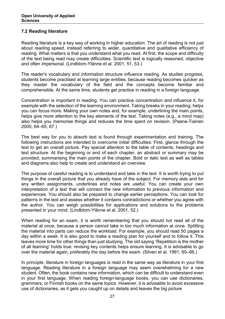#### <span id="page-26-0"></span>**7.2 Reading literature**

Reading literature is a key way of working in higher education. The art of reading is not just about reading speed, instead referring to wider, quantitative and qualitative efficiency of reading. What matters is that you understand what you read. At first, the scope and difficulty of the text being read may create difficulties. Scientific text is logically reasoned, objective and often impersonal. (Lindblom-Ylänne et al. 2001, 51, 53.)

The reader's vocabulary and information structure influence reading. As studies progress, students become practised at learning large entities, because reading becomes quicker as they master the vocabulary of the field and the concepts become familiar and comprehensible. At the same time, students get practice in reading in a foreign language.

Concentration is important in reading. You can practice concentration and influence it, for example with the selection of the learning environment. Taking breaks in your reading, helps you can focus more. Making your own notes and, for example, underlining the main points, helps give more attention to the key elements of the text. Taking notes (e.g., a mind map) also helps you memorise things and reduces the time spent on revision. (Paane-Tiainen 2000, 64–65, 67.)

The best way for you to absorb text is found through experimentation and training. The following instructions are intended to overcome initial difficulties: First, glance through the text to get an overall picture. Pay special attention to the table of contents, headings and text structure. At the beginning or end of each chapter, an abstract or summary may be provided, summarising the main points of the chapter. Bold or italic text as well as tables and diagrams also help to create and understand an overview.

The purpose of careful reading is to understand and take in the text. It is worth trying to put things in the overall picture that you already have of the subject. For memory aids and for any written assignments, underlines and notes are useful. You can create your own interpretation of a text that will connect the new information to previous information and experiences. You should also be prepared to change earlier perceptions. You can look for patterns in the text and assess whether it contains contradictions or whether you agree with the author. You can weigh possibilities for applications and solutions to the problems presented in your mind. (Lindblom-Ylänne et al. 2001, 52.)

When reading for an exam, it is worth remembering that you should not read all of the material at once, because a person cannot take in too much information at once. Splitting the material into parts can reduce the workload. For example, you should read 50 pages a day within a week. It is also good to make a reading plan for yourself and to follow it. This leaves more time for other things than just studying. The old saying 'Repetition is the mother of all learning' holds true: revising key contents helps ensure learning. It is advisable to go over the material again, preferably the day before the exam. (Silven et al. 1991, 65–66.)

In principle, literature in foreign languages is read in the same way as literature in your first language. Reading literature in a foreign language may seem overwhelming for a new student. Often, the book contains new information, which can be difficult to understand even in your first language. When reading foreign-language books, you can use dictionaries, grammars, or Finnish books on the same topics. However, it is advisable to avoid excessive use of dictionaries, as it gets you caught up on details and leaves the big picture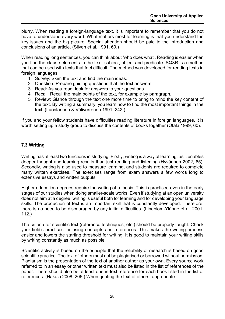blurry. When reading a foreign-language text, it is important to remember that you do not have to understand every word. What matters most for learning is that you understand the key issues and the big picture. Special attention should be paid to the introduction and conclusions of an article. (Silven et al. 1991, 60.)

When reading long sentences, you can think about 'who does what'. Reading is easier when you find the clause elements in the text: subject, object and predicate. SQ3R is a method that can be used with texts that feel difficult. The method was developed for reading texts in foreign languages.

- 1. Survey: Skim the text and find the main ideas.
- 2. Question: Prepare guiding questions that the text answers.
- 3. Read: As you read, look for answers to your questions.
- 4. Recall: Recall the main points of the text, for example by paragraph.
- 5. Review: Glance through the text one more time to bring to mind the key content of the text. By writing a summary, you learn how to find the most important things in the text. (Luostarinen & Väliverronen 1991, 242.)

If you and your fellow students have difficulties reading literature in foreign languages, it is worth setting up a study group to discuss the contents of books together (Otala 1999, 60).

#### <span id="page-27-0"></span>**7.3 Writing**

Writing has at least two functions in studying: Firstly, writing is a way of learning, as it enables deeper thought and learning results than just reading and listening (Hyvärinen 2002, 65). Secondly, writing is also used to measure learning, and students are required to complete many written exercises. The exercises range from exam answers a few words long to extensive essays and written outputs.

Higher education degrees require the writing of a thesis. This is practised even in the early stages of our studies when doing smaller-scale works. Even if studying at an open university does not aim at a degree, writing is useful both for learning and for developing your language skills. The production of text is an important skill that is constantly developed. Therefore, there is no need to be discouraged by any initial difficulties. (Lindblom-Ylänne et al. 2001, 112.)

The criteria for scientific text (reference techniques, etc.) should be properly taught. Check your field's practices for using concepts and references. This makes the writing process easier and lowers the starting threshold for writing. It is good to maintain your writing skills by writing constantly as much as possible.

Scientific activity is based on the principle that the reliability of research is based on good scientific practice. The text of others must not be plagiarised or borrowed without permission. Plagiarism is the presentation of the text of another author as your own. Every source work referred to in an essay or other written text must also be listed in the list of references of the paper. There should also be at least one in-text reference for each book listed in the list of references. (Hakala 2008, 206.) When quoting the text of others, appropriate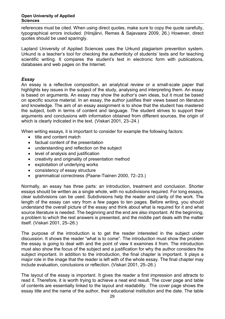references must be cited. When using direct quotes, make sure to copy the quote carefully, typographical errors included. (Hirsjärvi, Remes & Sajavaara 2009, 26.) However, direct quotes should be used sparingly.

Lapland University of Applied Sciences uses the Urkund plagiarism prevention system. Urkund is a teacher's tool for checking the authenticity of students' texts and for teaching scientific writing. It compares the student's text in electronic form with publications, databases and web pages on the Internet.

#### *Essay*

An essay is a reflective composition, an analytical review or a small-scale paper that highlights key issues in the subject of the study, analysing and interpreting them. An essay is based on arguments. An essay may show the author's own ideas, but it must be based on specific source material. In an essay, the author justifies their views based on literature and knowledge. The aim of an essay assignment is to show that the student has mastered the subject, both in terms of content and language. The student strives to support their arguments and conclusions with information obtained from different sources, the origin of which is clearly indicated in the text. (Viskari 2001, 23–24.)

When writing essays, it is important to consider for example the following factors:

- title and content match
- factual content of the presentation
- understanding and reflection on the subject
- level of analysis and justification
- creativity and originality of presentation method
- exploitation of underlying works
- consistency of essay structure
- grammatical correctness (Paane-Tiainen 2000, 72–23.)

Normally, an essay has three parts: an introduction, treatment and conclusion. Shorter essays should be written as a single whole, with no subdivisions required. For long essays, clear subdivisions can be used. Subdivisions help the reader and clarity of the work. The length of the essay can vary from a few pages to ten pages. Before writing, you should understand the overall picture of the essay and think about what is required for it and what source literature is needed. The beginning and the end are also important. At the beginning, a problem to which the rest answers is presented, and the middle part deals with the matter itself. (Viskari 2001, 25–26.)

The purpose of the introduction is to get the reader interested in the subject under discussion. It shows the reader "what is to come". The introduction must show the problem the essay is going to deal with and the point of view it examines it from. The introduction must also show the focus of the subject and a justification for why the author considers the subject important. In addition to the introduction, the final chapter is important. It plays a major role in the image that the reader is left with of the whole essay. The final chapter may include evaluation, conclusions or reflection. (Viskari 2001, 25–26.)

The layout of the essay is important. It gives the reader a first impression and attracts to read it. Therefore, it is worth trying to achieve a neat end result. The cover page and table of contents are essentially linked to the layout and readability. The cover page shows the essay title and the name of the author, their educational institution and the date. The table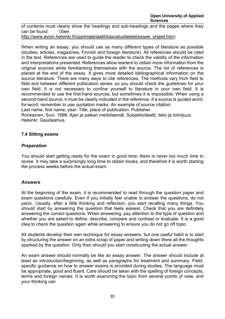of contents must clearly show the headings and sub-headings and the pages where they can be found. (See

[http://www.avoin.helsinki.fi/oppimateriaalit/kasvatustieteet/essee\\_ohjeet.htm\)](http://www.avoin.helsinki.fi/oppimateriaalit/kasvatustieteet/essee_ohjeet.htm)

When writing an essay, you should use as many different types of literature as possible (studies, articles, magazines, Finnish and foreign literature). All references should be cited in the text. References are used to guide the reader to check the validity of the information and interpretations presented. References allow readers to obtain more information from the original sources while familiarising themselves with the source. The list of references is placed at the end of the essay. It gives more detailed bibliographical information on the source literature. There are many ways to cite references. The methods vary from field to field and between different publication series, so you should check the guidelines for your own field. It is not necessary to confine yourself to literature in your own field. It is recommended to use the first-hand sources, but sometimes it is impossible. When using a second-hand source, it must be clearly indicated in the reference. If a source is quoted wordfor-word, remember to use quotation marks. An example of source citation:

Last name, first name, year: Title, place of publication: Publisher.

Ronkainen, Suvi. 1999. Ajan ja paikan merkitsemät. Subjektiviteetti, tieto ja toimijuus. Helsinki: Gaudeamus.

#### <span id="page-29-0"></span>**7.4 Sitting exams**

#### *Preparation*

You should start getting ready for the exam in good time; there is never too much time to revise. It may take a surprisingly long time to obtain books, and therefore it is worth starting the process weeks before the actual exam.

#### *Answers*

At the beginning of the exam, it is recommended to read through the question paper and exam questions carefully. Even if you initially feel unable to answer the questions, do not panic. Usually, after a little thinking and reflection, you start recalling many things. You should start by answering the question that feels easiest. Check that you are definitely answering the correct questions. When answering, pay attention to the type of question and whether you are asked to define, describe, compare and contrast or evaluate. It is a good idea to check the question again while answering to ensure you do not go off topic.

All students develop their own technique for essay answers, but one useful habit is to start by structuring the answer on an extra scrap of paper and writing down there all the thoughts sparked by the question. Only then should you start constructing the actual answer.

An exam answer should normally be like an essay answer. The answer should include at least an introduction/beginning, as well as paragraphs for treatment and summary. Fieldspecific guidance on how to answer exams is provided during studies. The language must be appropriate, good and fluent. Care should be taken with the spelling of foreign concepts, terms and foreign names. It is worth examining the topic from several points of view, and your thinking can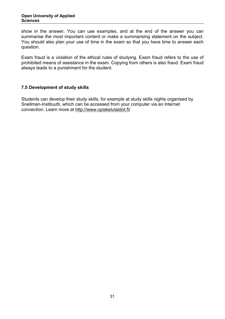show in the answer. You can use examples, and at the end of the answer you can summarise the most important content or make a summarising statement on the subject. You should also plan your use of time in the exam so that you have time to answer each question.

Exam fraud is a violation of the ethical rules of studying. Exam fraud refers to the use of prohibited means of assistance in the exam. Copying from others is also fraud. Exam fraud always leads to a punishment for the student.

#### <span id="page-30-0"></span>**7.5 Development of study skills**

Students can develop their study skills, for example at study skills nights organised by Snellman-Instituutti, which can be accessed from your computer via an Internet connection. Learn more at http://www.opiskelutaidot.fi/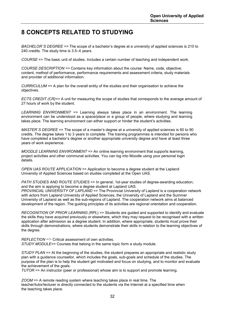### <span id="page-31-0"></span>**8 CONCEPTS RELATED TO STUDYING**

*BACHELOR´S DEGREE =>* The scope of a bachelor's degree at a university of applied sciences is 210 to 240 credits. The study time is 3.5–4 years.

*COURSE* => The basic unit of studies. Includes a certain number of teaching and independent work*.*

*COURSE DESCRIPTION =>* Contains key information about the course: Name, code, objective, content, method of performance, performance requirements and assessment criteria, study materials and provider of additional information.

*CURRICULUM* => A plan for the overall entity of the studies and their organisation to achieve the objectives.

*ECTS CREDIT (CR)=>* A unit for measuring the scope of studies that corresponds to the average amount of 27 hours of work by the student.

*LEARNING ENVIRONMENT =>* Learning always takes place in an environment. The learning environment can be understood as a space/place or a group of people, where studying and learning takes place. The learning environment can either support or hinder the student's activities.

*MASTER`S DEGREE* => The scope of a master's degree at a university of applied sciences is 60 to 90 credits. The degree takes 1 to 3 years to complete. The training programmes is intended for persons who have completed a bachelor's degree or another appropriate university degree and have at least three years of work experience.

*MOODLE LEARNING ENVIRONMENT* => An online learning environment that supports learning, project activities and other communal activities. You can log into Moodle using your personal login details.

*OPEN UAS ROUTE APPLICATION* => Application to become a degree student at the Lapland University of Applied Sciences based on studies completed at the Open UAS.

*PATH STUDIES AND ROUTE STUDIES* => In general, 1st-year studies of degree-awarding education, and the aim is applying to become a degree student at Lapland UAS.

*PROVINCIAL UNIVERSITY OF LAPLAND* => The Provincial University of Lapland is a cooperation network with actors from Lapland University of Applied Sciences, the University of Lapland and the Summer University of Lapland as well as the sub-regions of Lapland. The cooperation network aims at balanced development of the region. The guiding principles of its activities are regional orientation and cooperation.

*RECOGNITION OF PRIOR LEARNING (RPL*) => Students are guided and supported to identify and evaluate the skills they have acquired previously or elsewhere, which they may request to be recognised with a written application after admission as a degree student. In addition, where appropriate, students must prove their skills through demonstrations, where students demonstrate their skills in relation to the learning objectives of the degree.

*REFLECTION* => Critical assessment of own activities. *STUDY MODULE=>* Courses that belong in the same topic form a study module.

*STUDY PLAN* => At the beginning of the studies, the student prepares an appropriate and realistic study plan with a guidance counsellor, which includes the goals, sub-goals and schedule of the studies. The purpose of the plan is to help the student get motivated and focus on studying, and to monitor and evaluate the achievement of the goals.

*TUTOR* => An instructor (peer or professional) whose aim is to support and promote learning.

*ZOOM* => A remote reading system where teaching takes place in real time. The teacher/tutor/lecturer is directly connected to the students via the Internet at a specified time when the teaching takes place.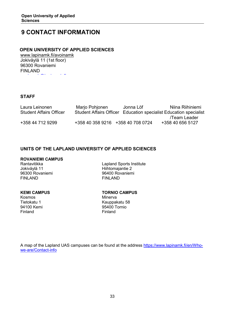### <span id="page-32-0"></span>**9 CONTACT INFORMATION**

#### **OPEN UNIVERSITY OF APPLIED SCIENCES**

www.lapinamk.fi/avoinamk Jokiväylä 11 (1st floor) 96300 Rovaniemi FINLAND [i k@l i k fi](mailto:avoinamk@lapinamk.fi) 

#### **STAFF**

| Laura Leinonen                 | Marjo Pohjonen                    | Jonna Löf | Niina Riihiniemi                                                  |
|--------------------------------|-----------------------------------|-----------|-------------------------------------------------------------------|
| <b>Student Affairs Officer</b> |                                   |           | Student Affairs Officer Education specialist Education specialist |
|                                |                                   |           | /Team Leader                                                      |
| +358 44 712 9299               | +358 40 358 9216 +358 40 708 0724 |           | +358 40 656 5127                                                  |

#### **UNITS OF THE LAPLAND UNIVERSITY OF APPLIED SCIENCES**

# **ROVANIEMI CAMPUS**

96300 Rovaniemi 96400 Rovaniemi 96400 Rovaniemi 96400 Rovaniemi 96400 Rovaniemi 96400 Rovaniemi 96400 Rovaniem<br>FINLAND **FINLAND** 

Rantavitikka Lapland Sports Institute Hiihtomajantie 2<br>96400 Rovaniemi

Kosmos Finland Finland

**KEMI CAMPUS**<br> **Kosmos**<br> **Kosmos**<br> **Minerva** 

Tietokatu 1 Kauppakatu 58 95400 Tornio

A map of the Lapland UAS campuses can be found at the address [https://www.lapinamk.fi/en/Who](https://www.lapinamk.fi/en/Who-we-are/Contact-info)[we-are/Contact-info](https://www.lapinamk.fi/en/Who-we-are/Contact-info)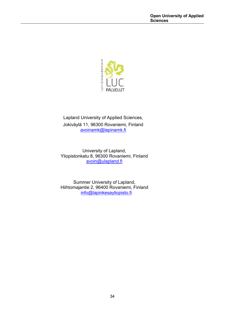

Lapland University of Applied Sciences, Jokiväylä 11, 96300 Rovaniemi, Finland [avoinamk@lapinamk.fi](mailto:avoinamk@lapinamk.fi)

University of Lapland, Yliopistonkatu 8, 96300 Rovaniemi, Finland [avoin@ulapland.fi](mailto:avoin@ulapland.fi)

Summer University of Lapland, Hiihtomajantie 2, 96400 Rovaniemi, Finland [info@lapinkesayliopisto.fi](mailto:info@lapinkesayliopisto.fi)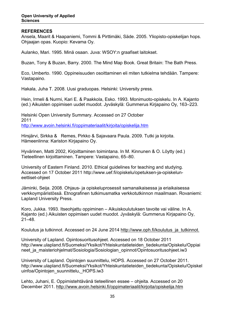#### **REFERENCES**

Ansela, Maarit & Haapaniemi, Tommi & Pirttimäki, Säde. 2005. Yliopisto-opiskelijan hops. Ohjaajan opas. Kuopio: Kevama Oy.

Aulanko, Mari. 1995. Minä osaan. Juva: WSOY:n graafiset laitokset.

Buzan, Tony & Buzan, Barry. 2000. The Mind Map Book. Great Britain: The Bath Press.

Eco, Umberto. 1990. Oppineisuuden osoittaminen eli miten tutkielma tehdään. Tampere: Vastapaino.

Hakala, Juha T. 2008. Uusi graduopas. Helsinki: University press.

Hein, Irmeli & Nurmi, Kari E. & Paakkola, Esko. 1993. Monimuoto-opiskelu. In A. Kajanto (ed.) Aikuisten oppimisen uudet muodot. Jyväskylä: Gummerus Kirjapaino Oy, 163–223.

Helsinki Open University Summary. Accessed on 27 October 2011 <http://www.avoin.helsinki.fi/oppimateriaalit/kirjoita/opiskelija.htm>

Hirsjärvi, Sirkka & Remes, Pirkko & Sajavaara Paula. 2009. Tutki ja kirjoita. Hämeenlinna: Kariston Kirjapaino Oy.

Hyvärinen, Matti 2002, Kirjoittaminen toimintana. In M. Kinnunen & O. Löytty (ed.) Tieteellinen kirjoittaminen. Tampere: Vastapaino, 65–80.

University of Eastern Finland. 2010. Ethical guidelines for teaching and studying. Accessed on 17 October 2011 [http://www.uef.fi/opiskelu/opetuksen-ja-opiskelun](http://www.uef.fi/opiskelu/opetuksen-ja-opiskelun-eettiset-ohjeet)[eettiset-ohjeet](http://www.uef.fi/opiskelu/opetuksen-ja-opiskelun-eettiset-ohjeet)

Jäminki, Seija. 2008. Ohjaus- ja opiskeluprosessit samanaikaisessa ja eriaikaisessa verkkoympäristössä. Etnografinen tutkimusmatka verkkotutkinnon maailmaan. Rovaniemi: Lapland University Press.

Koro, Jukka. 1993. Itseohjattu oppiminen – Aikuiskoulutuksen tavoite vai väline. In A. Kajanto (ed.) Aikuisten oppimisen uudet muodot. Jyväskylä: Gummerus Kirjapaino Oy, 21–48.

Koulutus ja tutkinnot. Accessed on 24 June 2014 [http://www.oph.fi/koulutus\\_ja\\_tutkinnot.](http://www.oph.fi/koulutus_ja_tutkinnot)

University of Lapland. Opintosuoritusohjeet. Accessed on 18 October 2011 [http://www.ulapland.fi/Suomeksi/Yksikot/Yhteiskuntatieteiden\\_tiedekunta/Opiskelu/Oppiai](http://www.ulapland.fi/Suomeksi/Yksikot/Yhteiskuntatieteiden_tiedekunta/Opiskelu/Oppiai) neet ja maisteriohjelmat/Sosiologia/Sosiologian opinnot/Opintosuoritusohjeet.iw3

University of Lapland. Opintojen suunnittelu, HOPS. Accessed on 27 October 2011. [http://www.ulapland.fi/Suomeksi/Yksikot/Yhteiskuntatieteiden\\_tiedekunta/Opiskelu/Opiskel](http://www.ulapland.fi/Suomeksi/Yksikot/Yhteiskuntatieteiden_tiedekunta/Opiskelu/Opiskel) uinfoa/Opintojen\_suunnittelu, HOPS.iw3

Lehto, Juhani, E. Oppimistehtävänä tieteellinen essee – ohjeita. Accessed on 20 December 2011.<http://www.avoin.helsinki.fi/oppimateriaalit/kirjoita/opiskelija.htm>